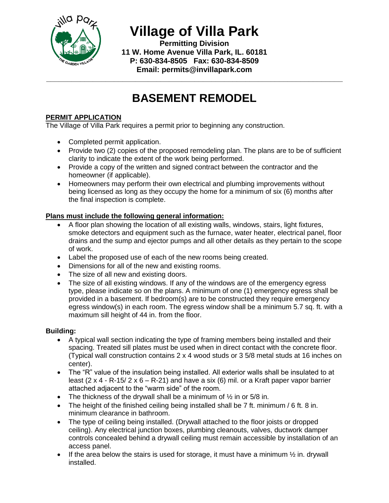

**Village of Villa Park**

**Permitting Division 11 W. Home Avenue Villa Park, IL. 60181 P: 630-834-8505 Fax: 630-834-8509 Email: permits@invillapark.com**

# **BASEMENT REMODEL**

**\_\_\_\_\_\_\_\_\_\_\_\_\_\_\_\_\_\_\_\_\_\_\_\_\_\_\_\_\_\_\_\_\_\_\_\_\_\_\_\_\_\_\_\_\_\_\_\_\_\_\_\_\_\_\_\_\_\_\_\_\_\_\_\_\_\_\_\_\_\_**

# **PERMIT APPLICATION**

The Village of Villa Park requires a permit prior to beginning any construction.

- Completed permit application.
- Provide two (2) copies of the proposed remodeling plan. The plans are to be of sufficient clarity to indicate the extent of the work being performed.
- Provide a copy of the written and signed contract between the contractor and the homeowner (if applicable).
- Homeowners may perform their own electrical and plumbing improvements without being licensed as long as they occupy the home for a minimum of six (6) months after the final inspection is complete.

### **Plans must include the following general information:**

- A floor plan showing the location of all existing walls, windows, stairs, light fixtures, smoke detectors and equipment such as the furnace, water heater, electrical panel, floor drains and the sump and ejector pumps and all other details as they pertain to the scope of work.
- Label the proposed use of each of the new rooms being created.
- Dimensions for all of the new and existing rooms.
- The size of all new and existing doors.
- The size of all existing windows. If any of the windows are of the emergency egress type, please indicate so on the plans. A minimum of one (1) emergency egress shall be provided in a basement. If bedroom(s) are to be constructed they require emergency egress window(s) in each room. The egress window shall be a minimum 5.7 sq. ft. with a maximum sill height of 44 in. from the floor.

#### **Building:**

- A typical wall section indicating the type of framing members being installed and their spacing. Treated sill plates must be used when in direct contact with the concrete floor. (Typical wall construction contains 2 x 4 wood studs or 3 5/8 metal studs at 16 inches on center).
- The "R" value of the insulation being installed. All exterior walls shall be insulated to at least (2 x 4 - R-15/  $2 \times 6 - R-21$ ) and have a six (6) mil. or a Kraft paper vapor barrier attached adjacent to the "warm side" of the room.
- The thickness of the drywall shall be a minimum of  $\frac{1}{2}$  in or 5/8 in.
- The height of the finished ceiling being installed shall be 7 ft. minimum / 6 ft. 8 in. minimum clearance in bathroom.
- The type of ceiling being installed. (Drywall attached to the floor joists or dropped ceiling). Any electrical junction boxes, plumbing cleanouts, valves, ductwork damper controls concealed behind a drywall ceiling must remain accessible by installation of an access panel.
- If the area below the stairs is used for storage, it must have a minimum  $\frac{1}{2}$  in. drywall installed.